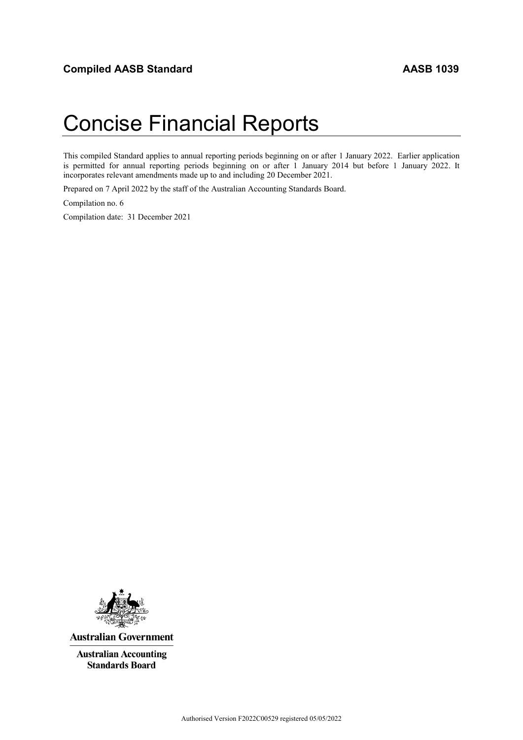# Concise Financial Reports

This compiled Standard applies to annual reporting periods beginning on or after 1 January 2022. Earlier application is permitted for annual reporting periods beginning on or after 1 January 2014 but before 1 January 2022. It incorporates relevant amendments made up to and including 20 December 2021.

Prepared on 7 April 2022 by the staff of the Australian Accounting Standards Board.

Compilation no. 6

Compilation date: 31 December 2021



**Australian Government** 

**Australian Accounting Standards Board**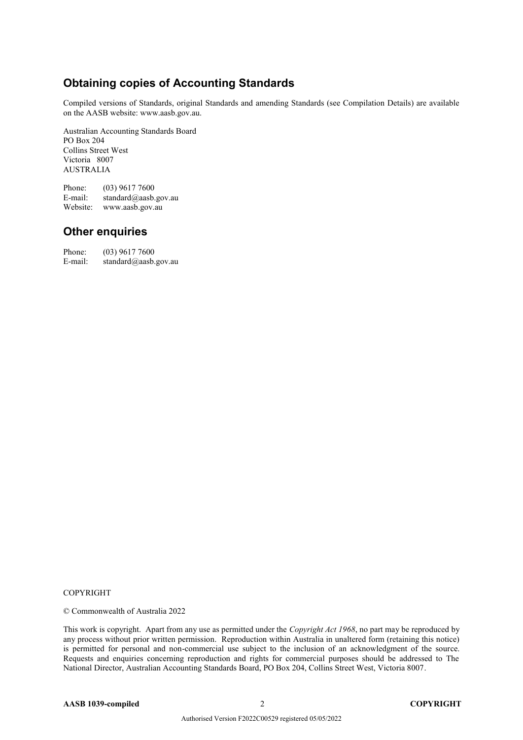# **Obtaining copies of Accounting Standards**

Compiled versions of Standards, original Standards and amending Standards (see Compilation Details) are available on the AASB website: www.aasb.gov.au.

Australian Accounting Standards Board PO Box 204 Collins Street West Victoria 8007 AUSTRALIA

Phone:  $(03)$  9617 7600<br>E-mail: standard@aasb. standard@aasb.gov.au Website: www.aasb.gov.au

## **Other enquiries**

Phone: (03) 9617 7600 E-mail: standard@aasb.gov.au

#### COPYRIGHT

© Commonwealth of Australia 2022

This work is copyright. Apart from any use as permitted under the *Copyright Act 1968*, no part may be reproduced by any process without prior written permission. Reproduction within Australia in unaltered form (retaining this notice) is permitted for personal and non-commercial use subject to the inclusion of an acknowledgment of the source. Requests and enquiries concerning reproduction and rights for commercial purposes should be addressed to The National Director, Australian Accounting Standards Board, PO Box 204, Collins Street West, Victoria 8007.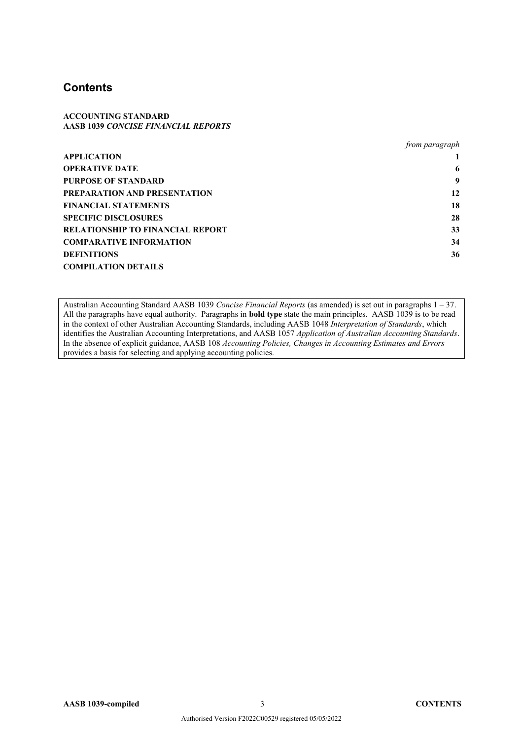## **Contents**

#### **ACCOUNTING STANDARD AASB 1039** *CONCISE FINANCIAL REPORTS*

|                                  | <i>from paragraph</i> |
|----------------------------------|-----------------------|
| APPLICATION                      |                       |
| <b>OPERATIVE DATE</b>            | 6                     |
| PURPOSE OF STANDARD              | 9                     |
| PREPARATION AND PRESENTATION     | 12                    |
| FINANCIAL STATEMENTS             | 18                    |
| <b>SPECIFIC DISCLOSURES</b>      | 28                    |
| RELATIONSHIP TO FINANCIAL REPORT | 33                    |
| <b>COMPARATIVE INFORMATION</b>   | 34                    |
| <b>DEFINITIONS</b>               | 36                    |
| <b>COMPILATION DETAILS</b>       |                       |
|                                  |                       |

Australian Accounting Standard AASB 1039 *Concise Financial Reports* (as amended) is set out in paragraphs 1 – 37. All the paragraphs have equal authority. Paragraphs in **bold type** state the main principles. AASB 1039 is to be read in the context of other Australian Accounting Standards, including AASB 1048 *Interpretation of Standards*, which identifies the Australian Accounting Interpretations, and AASB 1057 *Application of Australian Accounting Standards*. In the absence of explicit guidance, AASB 108 *Accounting Policies, Changes in Accounting Estimates and Errors*  provides a basis for selecting and applying accounting policies.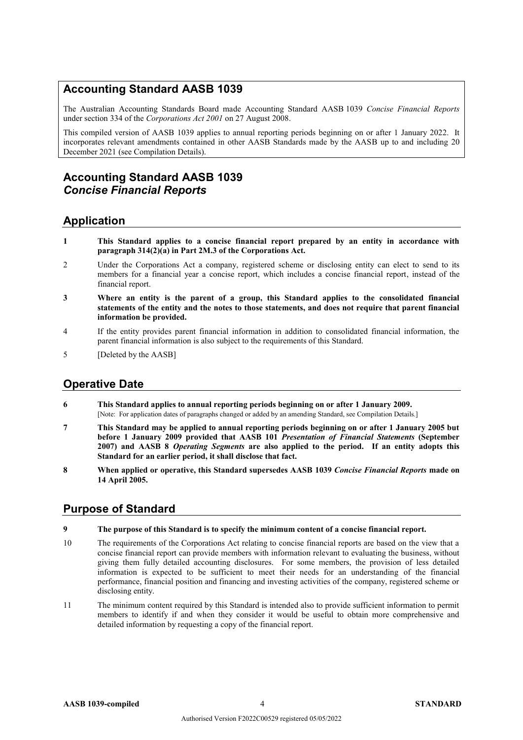# **Accounting Standard AASB 1039**

The Australian Accounting Standards Board made Accounting Standard AASB 1039 *Concise Financial Reports* under section 334 of the *Corporations Act 2001* on 27 August 2008.

This compiled version of AASB 1039 applies to annual reporting periods beginning on or after 1 January 2022. It incorporates relevant amendments contained in other AASB Standards made by the AASB up to and including 20 December 2021 (see Compilation Details).

# **Accounting Standard AASB 1039** *Concise Financial Reports*

## **Application**

- **1 This Standard applies to a concise financial report prepared by an entity in accordance with paragraph 314(2)(a) in Part 2M.3 of the Corporations Act.**
- 2 Under the Corporations Act a company, registered scheme or disclosing entity can elect to send to its members for a financial year a concise report, which includes a concise financial report, instead of the financial report.
- **3 Where an entity is the parent of a group, this Standard applies to the consolidated financial statements of the entity and the notes to those statements, and does not require that parent financial information be provided.**
- 4 If the entity provides parent financial information in addition to consolidated financial information, the parent financial information is also subject to the requirements of this Standard.
- 5 [Deleted by the AASB]

## **Operative Date**

- **6 This Standard applies to annual reporting periods beginning on or after 1 January 2009.** [Note: For application dates of paragraphs changed or added by an amending Standard, see Compilation Details.]
- **7 This Standard may be applied to annual reporting periods beginning on or after 1 January 2005 but before 1 January 2009 provided that AASB 101** *Presentation of Financial Statements* **(September 2007) and AASB 8** *Operating Segments* **are also applied to the period. If an entity adopts this Standard for an earlier period, it shall disclose that fact.**
- **8 When applied or operative, this Standard supersedes AASB 1039** *Concise Financial Reports* **made on 14 April 2005.**

#### **Purpose of Standard**

#### **9 The purpose of this Standard is to specify the minimum content of a concise financial report.**

- 10 The requirements of the Corporations Act relating to concise financial reports are based on the view that a concise financial report can provide members with information relevant to evaluating the business, without giving them fully detailed accounting disclosures. For some members, the provision of less detailed information is expected to be sufficient to meet their needs for an understanding of the financial performance, financial position and financing and investing activities of the company, registered scheme or disclosing entity.
- 11 The minimum content required by this Standard is intended also to provide sufficient information to permit members to identify if and when they consider it would be useful to obtain more comprehensive and detailed information by requesting a copy of the financial report.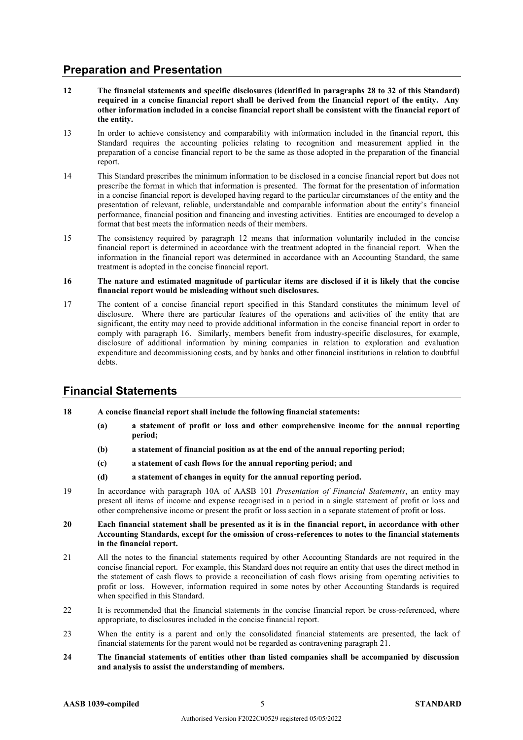# **Preparation and Presentation**

- **12 The financial statements and specific disclosures (identified in paragraphs 28 to 32 of this Standard) required in a concise financial report shall be derived from the financial report of the entity. Any other information included in a concise financial report shall be consistent with the financial report of the entity.**
- 13 In order to achieve consistency and comparability with information included in the financial report, this Standard requires the accounting policies relating to recognition and measurement applied in the preparation of a concise financial report to be the same as those adopted in the preparation of the financial report.
- 14 This Standard prescribes the minimum information to be disclosed in a concise financial report but does not prescribe the format in which that information is presented. The format for the presentation of information in a concise financial report is developed having regard to the particular circumstances of the entity and the presentation of relevant, reliable, understandable and comparable information about the entity's financial performance, financial position and financing and investing activities. Entities are encouraged to develop a format that best meets the information needs of their members.
- 15 The consistency required by paragraph 12 means that information voluntarily included in the concise financial report is determined in accordance with the treatment adopted in the financial report. When the information in the financial report was determined in accordance with an Accounting Standard, the same treatment is adopted in the concise financial report.
- **16 The nature and estimated magnitude of particular items are disclosed if it is likely that the concise financial report would be misleading without such disclosures.**
- 17 The content of a concise financial report specified in this Standard constitutes the minimum level of disclosure. Where there are particular features of the operations and activities of the entity that are significant, the entity may need to provide additional information in the concise financial report in order to comply with paragraph 16. Similarly, members benefit from industry-specific disclosures, for example, disclosure of additional information by mining companies in relation to exploration and evaluation expenditure and decommissioning costs, and by banks and other financial institutions in relation to doubtful debts.

#### **Financial Statements**

- **18 A concise financial report shall include the following financial statements:**
	- **(a) a statement of profit or loss and other comprehensive income for the annual reporting period;**
	- **(b) a statement of financial position as at the end of the annual reporting period;**
	- **(c) a statement of cash flows for the annual reporting period; and**
	- **(d) a statement of changes in equity for the annual reporting period.**
- 19 In accordance with paragraph 10A of AASB 101 *Presentation of Financial Statements*, an entity may present all items of income and expense recognised in a period in a single statement of profit or loss and other comprehensive income or present the profit or loss section in a separate statement of profit or loss.
- **20 Each financial statement shall be presented as it is in the financial report, in accordance with other Accounting Standards, except for the omission of cross-references to notes to the financial statements in the financial report.**
- 21 All the notes to the financial statements required by other Accounting Standards are not required in the concise financial report. For example, this Standard does not require an entity that uses the direct method in the statement of cash flows to provide a reconciliation of cash flows arising from operating activities to profit or loss. However, information required in some notes by other Accounting Standards is required when specified in this Standard.
- 22 It is recommended that the financial statements in the concise financial report be cross-referenced, where appropriate, to disclosures included in the concise financial report.
- 23 When the entity is a parent and only the consolidated financial statements are presented, the lack of financial statements for the parent would not be regarded as contravening paragraph 21.
- **24 The financial statements of entities other than listed companies shall be accompanied by discussion and analysis to assist the understanding of members.**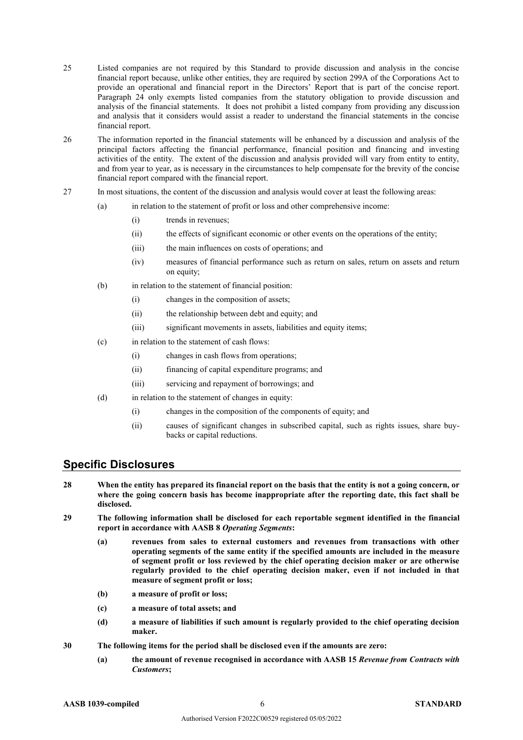- 25 Listed companies are not required by this Standard to provide discussion and analysis in the concise financial report because, unlike other entities, they are required by section 299A of the Corporations Act to provide an operational and financial report in the Directors' Report that is part of the concise report. Paragraph 24 only exempts listed companies from the statutory obligation to provide discussion and analysis of the financial statements. It does not prohibit a listed company from providing any discussion and analysis that it considers would assist a reader to understand the financial statements in the concise financial report.
- 26 The information reported in the financial statements will be enhanced by a discussion and analysis of the principal factors affecting the financial performance, financial position and financing and investing activities of the entity. The extent of the discussion and analysis provided will vary from entity to entity, and from year to year, as is necessary in the circumstances to help compensate for the brevity of the concise financial report compared with the financial report.
- 27 In most situations, the content of the discussion and analysis would cover at least the following areas:
	- (a) in relation to the statement of profit or loss and other comprehensive income:
		- (i) trends in revenues;
		- (ii) the effects of significant economic or other events on the operations of the entity;
		- (iii) the main influences on costs of operations; and
		- (iv) measures of financial performance such as return on sales, return on assets and return on equity;
	- (b) in relation to the statement of financial position:
		- (i) changes in the composition of assets;
		- (ii) the relationship between debt and equity; and
		- (iii) significant movements in assets, liabilities and equity items;
	- (c) in relation to the statement of cash flows:
		- (i) changes in cash flows from operations;
		- (ii) financing of capital expenditure programs; and
		- (iii) servicing and repayment of borrowings; and
	- (d) in relation to the statement of changes in equity:
		- (i) changes in the composition of the components of equity; and
		- (ii) causes of significant changes in subscribed capital, such as rights issues, share buybacks or capital reductions.

#### **Specific Disclosures**

- **28 When the entity has prepared its financial report on the basis that the entity is not a going concern, or where the going concern basis has become inappropriate after the reporting date, this fact shall be disclosed.**
- **29 The following information shall be disclosed for each reportable segment identified in the financial report in accordance with AASB 8** *Operating Segments***:** 
	- **(a) revenues from sales to external customers and revenues from transactions with other operating segments of the same entity if the specified amounts are included in the measure of segment profit or loss reviewed by the chief operating decision maker or are otherwise regularly provided to the chief operating decision maker, even if not included in that measure of segment profit or loss;**
	- **(b) a measure of profit or loss;**
	- **(c) a measure of total assets; and**
	- **(d) a measure of liabilities if such amount is regularly provided to the chief operating decision maker.**
- **30 The following items for the period shall be disclosed even if the amounts are zero:**
	- **(a) the amount of revenue recognised in accordance with AASB 15** *Revenue from Contracts with Customers***;**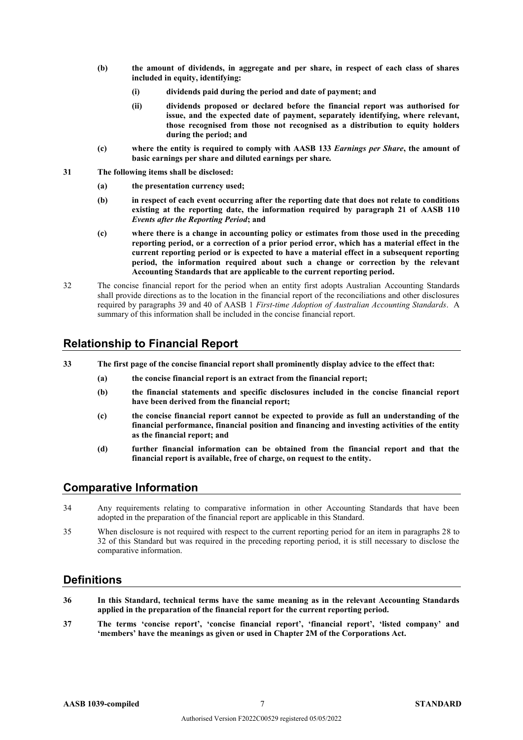- **(b) the amount of dividends, in aggregate and per share, in respect of each class of shares included in equity, identifying:**
	- **(i) dividends paid during the period and date of payment; and**
	- **(ii) dividends proposed or declared before the financial report was authorised for issue, and the expected date of payment, separately identifying, where relevant, those recognised from those not recognised as a distribution to equity holders during the period; and**
- **(c) where the entity is required to comply with AASB 133** *Earnings per Share***, the amount of basic earnings per share and diluted earnings per share***.*
- **31 The following items shall be disclosed:**
	- **(a) the presentation currency used;**
	- **(b) in respect of each event occurring after the reporting date that does not relate to conditions existing at the reporting date, the information required by paragraph 21 of AASB 110**  *Events after the Reporting Period***; and**
	- **(c) where there is a change in accounting policy or estimates from those used in the preceding reporting period, or a correction of a prior period error, which has a material effect in the current reporting period or is expected to have a material effect in a subsequent reporting period, the information required about such a change or correction by the relevant Accounting Standards that are applicable to the current reporting period.**
- 32 The concise financial report for the period when an entity first adopts Australian Accounting Standards shall provide directions as to the location in the financial report of the reconciliations and other disclosures required by paragraphs 39 and 40 of AASB 1 *First-time Adoption of Australian Accounting Standards*. A summary of this information shall be included in the concise financial report.

#### **Relationship to Financial Report**

**33 The first page of the concise financial report shall prominently display advice to the effect that:** 

- **(a) the concise financial report is an extract from the financial report;**
- **(b) the financial statements and specific disclosures included in the concise financial report have been derived from the financial report;**
- **(c) the concise financial report cannot be expected to provide as full an understanding of the financial performance, financial position and financing and investing activities of the entity as the financial report; and**
- **(d) further financial information can be obtained from the financial report and that the financial report is available, free of charge, on request to the entity.**

#### **Comparative Information**

- 34 Any requirements relating to comparative information in other Accounting Standards that have been adopted in the preparation of the financial report are applicable in this Standard.
- 35 When disclosure is not required with respect to the current reporting period for an item in paragraphs 28 to 32 of this Standard but was required in the preceding reporting period, it is still necessary to disclose the comparative information.

#### **Definitions**

- **36 In this Standard, technical terms have the same meaning as in the relevant Accounting Standards applied in the preparation of the financial report for the current reporting period.**
- **37 The terms 'concise report', 'concise financial report', 'financial report', 'listed company' and 'members' have the meanings as given or used in Chapter 2M of the Corporations Act.**